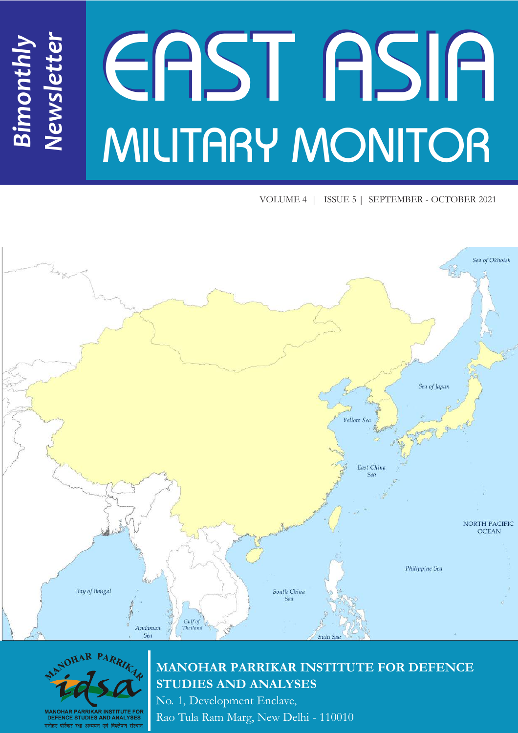# EAST ASIA MILITARY MONITOR *Newsletter*

VOLUME 4 | ISSUE 5 | SEPTEMBER - OCTOBER 2021





*Bimonthly*

# **MANOHAR PARRIKAR INSTITUTE FOR DEFENCE STUDIES AND ANALYSES**

No. 1, Development Enclave, Rao Tula Ram Marg, New Delhi - 110010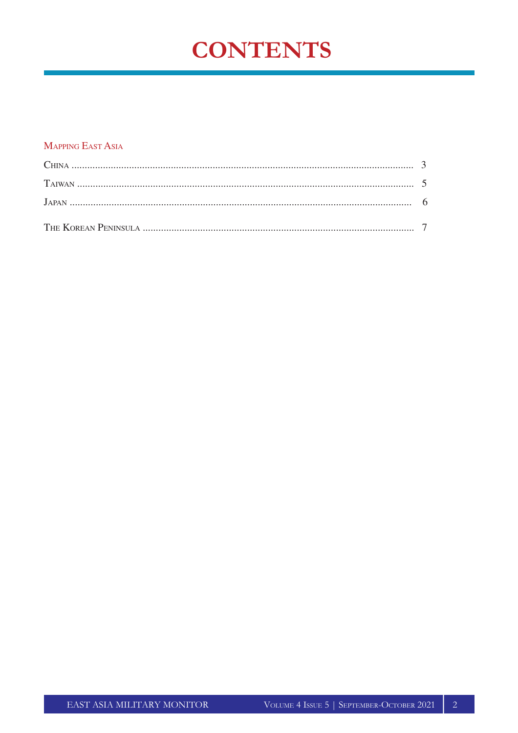# **CONTENTS**

#### **MAPPING EAST ASIA**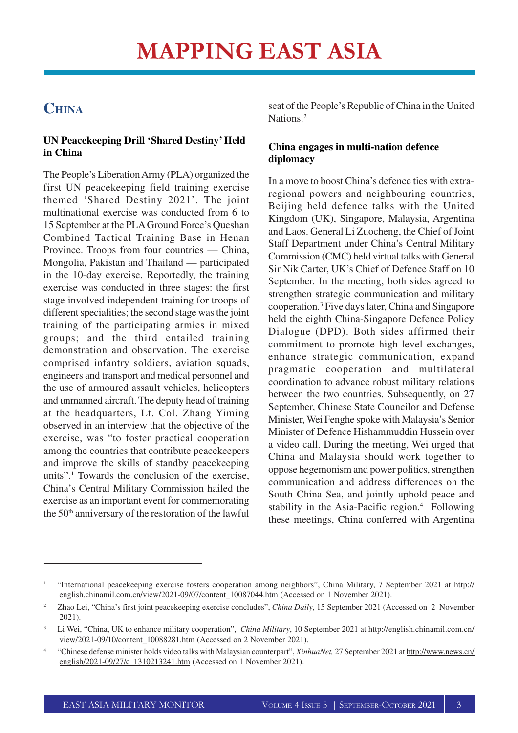# **CHINA**

#### **UN Peacekeeping Drill 'Shared Destiny' Held in China**

The People's Liberation Army (PLA) organized the first UN peacekeeping field training exercise themed 'Shared Destiny 2021'. The joint multinational exercise was conducted from 6 to 15 September at the PLA Ground Force's Queshan Combined Tactical Training Base in Henan Province. Troops from four countries — China, Mongolia, Pakistan and Thailand — participated in the 10-day exercise. Reportedly, the training exercise was conducted in three stages: the first stage involved independent training for troops of different specialities; the second stage was the joint training of the participating armies in mixed groups; and the third entailed training demonstration and observation. The exercise comprised infantry soldiers, aviation squads, engineers and transport and medical personnel and the use of armoured assault vehicles, helicopters and unmanned aircraft. The deputy head of training at the headquarters, Lt. Col. Zhang Yiming observed in an interview that the objective of the exercise, was "to foster practical cooperation among the countries that contribute peacekeepers and improve the skills of standby peacekeeping units".<sup>1</sup> Towards the conclusion of the exercise, China's Central Military Commission hailed the exercise as an important event for commemorating the 50th anniversary of the restoration of the lawful

seat of the People's Republic of China in the United Nations.<sup>2</sup>

#### **China engages in multi-nation defence diplomacy**

In a move to boost China's defence ties with extraregional powers and neighbouring countries, Beijing held defence talks with the United Kingdom (UK), Singapore, Malaysia, Argentina and Laos. General Li Zuocheng, the Chief of Joint Staff Department under China's Central Military Commission (CMC) held virtual talks with General Sir Nik Carter, UK's Chief of Defence Staff on 10 September. In the meeting, both sides agreed to strengthen strategic communication and military cooperation.<sup>3</sup> Five days later, China and Singapore held the eighth China-Singapore Defence Policy Dialogue (DPD). Both sides affirmed their commitment to promote high-level exchanges, enhance strategic communication, expand pragmatic cooperation and multilateral coordination to advance robust military relations between the two countries. Subsequently, on 27 September, Chinese State Councilor and Defense Minister, Wei Fenghe spoke with Malaysia's Senior Minister of Defence Hishammuddin Hussein over a video call. During the meeting, Wei urged that China and Malaysia should work together to oppose hegemonism and power politics, strengthen communication and address differences on the South China Sea, and jointly uphold peace and stability in the Asia-Pacific region.<sup>4</sup> Following these meetings, China conferred with Argentina

<sup>1</sup> "International peacekeeping exercise fosters cooperation among neighbors", China Military, 7 September 2021 at http:// english.chinamil.com.cn/view/2021-09/07/content\_10087044.htm (Accessed on 1 November 2021).

<sup>2</sup> Zhao Lei, "China's first joint peacekeeping exercise concludes", *China Daily*, 15 September 2021 (Accessed on 2 November 2021).

<sup>3</sup> Li Wei, "China, UK to enhance military cooperation", *China Military*, 10 September 2021 at http://english.chinamil.com.cn/ view/2021-09/10/content\_10088281.htm (Accessed on 2 November 2021).

<sup>4</sup> "Chinese defense minister holds video talks with Malaysian counterpart", *XinhuaNet,* 27 September 2021 at http://www.news.cn/ english/2021-09/27/c\_1310213241.htm (Accessed on 1 November 2021).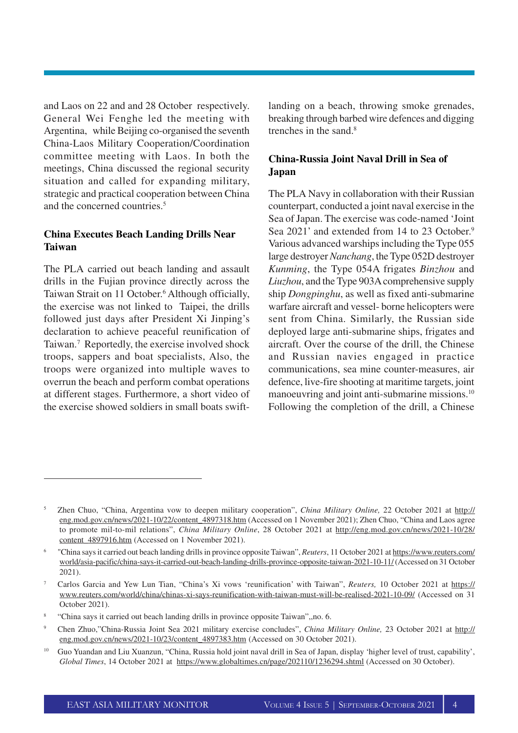and Laos on 22 and and 28 October respectively. General Wei Fenghe led the meeting with Argentina, while Beijing co-organised the seventh China-Laos Military Cooperation/Coordination committee meeting with Laos. In both the meetings, China discussed the regional security situation and called for expanding military, strategic and practical cooperation between China and the concerned countries.<sup>5</sup>

#### **China Executes Beach Landing Drills Near Taiwan**

The PLA carried out beach landing and assault drills in the Fujian province directly across the Taiwan Strait on 11 October. <sup>6</sup> Although officially, the exercise was not linked to Taipei, the drills followed just days after President Xi Jinping's declaration to achieve peaceful reunification of Taiwan.<sup>7</sup> Reportedly, the exercise involved shock troops, sappers and boat specialists, Also, the troops were organized into multiple waves to overrun the beach and perform combat operations at different stages. Furthermore, a short video of the exercise showed soldiers in small boats swiftlanding on a beach, throwing smoke grenades, breaking through barbed wire defences and digging trenches in the sand.<sup>8</sup>

#### **China-Russia Joint Naval Drill in Sea of Japan**

The PLA Navy in collaboration with their Russian counterpart, conducted a joint naval exercise in the Sea of Japan. The exercise was code-named 'Joint Sea 2021' and extended from 14 to 23 October.<sup>9</sup> Various advanced warships including the Type 055 large destroyer *Nanchang*, the Type 052D destroyer *Kunming*, the Type 054A frigates *Binzhou* and *Liuzhou*, and the Type 903A comprehensive supply ship *Dongpinghu*, as well as fixed anti-submarine warfare aircraft and vessel- borne helicopters were sent from China. Similarly, the Russian side deployed large anti-submarine ships, frigates and aircraft. Over the course of the drill, the Chinese and Russian navies engaged in practice communications, sea mine counter-measures, air defence, live-fire shooting at maritime targets, joint manoeuvring and joint anti-submarine missions.<sup>10</sup> Following the completion of the drill, a Chinese

<sup>5</sup> Zhen Chuo, "China, Argentina vow to deepen military cooperation", *China Military Online,* 22 October 2021 at http:// eng.mod.gov.cn/news/2021-10/22/content\_4897318.htm (Accessed on 1 November 2021); Zhen Chuo, "China and Laos agree to promote mil-to-mil relations", *China Military Online*, 28 October 2021 at http://eng.mod.gov.cn/news/2021-10/28/ content 4897916.htm (Accessed on 1 November 2021).

<sup>6</sup> "China says it carried out beach landing drills in province opposite Taiwan", *Reuters*, 11 October 2021 at https://www.reuters.com/ world/asia-pacific/china-says-it-carried-out-beach-landing-drills-province-opposite-taiwan-2021-10-11/ (Accessed on 31 October 2021).

<sup>7</sup> Carlos Garcia and Yew Lun Tian, "China's Xi vows 'reunification' with Taiwan", *Reuters,* 10 October 2021 at https:// www.reuters.com/world/china/chinas-xi-says-reunification-with-taiwan-must-will-be-realised-2021-10-09/ (Accessed on 31 October 2021).

<sup>8</sup> "China says it carried out beach landing drills in province opposite Taiwan",,no. 6.

<sup>9</sup> Chen Zhuo,"China-Russia Joint Sea 2021 military exercise concludes", *China Military Online,* 23 October 2021 at http:// eng.mod.gov.cn/news/2021-10/23/content\_4897383.htm (Accessed on 30 October 2021).

<sup>&</sup>lt;sup>10</sup> Guo Yuandan and Liu Xuanzun, "China, Russia hold joint naval drill in Sea of Japan, display 'higher level of trust, capability', *Global Times*, 14 October 2021 at https://www.globaltimes.cn/page/202110/1236294.shtml (Accessed on 30 October).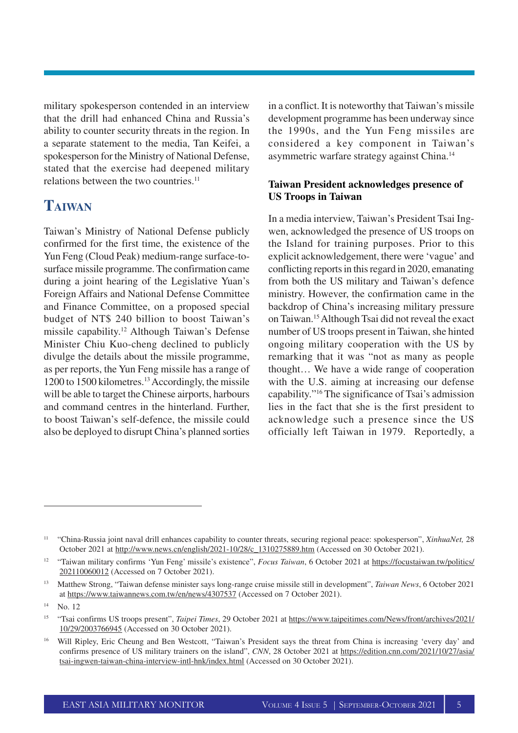military spokesperson contended in an interview that the drill had enhanced China and Russia's ability to counter security threats in the region. In a separate statement to the media, Tan Keifei, a spokesperson for the Ministry of National Defense, stated that the exercise had deepened military relations between the two countries.<sup>11</sup>

### **TAIWAN**

Taiwan's Ministry of National Defense publicly confirmed for the first time, the existence of the Yun Feng (Cloud Peak) medium-range surface-tosurface missile programme. The confirmation came during a joint hearing of the Legislative Yuan's Foreign Affairs and National Defense Committee and Finance Committee, on a proposed special budget of NT\$ 240 billion to boost Taiwan's missile capability. <sup>12</sup> Although Taiwan's Defense Minister Chiu Kuo-cheng declined to publicly divulge the details about the missile programme, as per reports, the Yun Feng missile has a range of 1200 to 1500 kilometres.<sup>13</sup>Accordingly, the missile will be able to target the Chinese airports, harbours and command centres in the hinterland. Further, to boost Taiwan's self-defence, the missile could also be deployed to disrupt China's planned sorties in a conflict. It is noteworthy that Taiwan's missile development programme has been underway since the 1990s, and the Yun Feng missiles are considered a key component in Taiwan's asymmetric warfare strategy against China.<sup>14</sup>

#### **Taiwan President acknowledges presence of US Troops in Taiwan**

In a media interview, Taiwan's President Tsai Ingwen, acknowledged the presence of US troops on the Island for training purposes. Prior to this explicit acknowledgement, there were 'vague' and conflicting reports in this regard in 2020, emanating from both the US military and Taiwan's defence ministry. However, the confirmation came in the backdrop of China's increasing military pressure on Taiwan.<sup>15</sup>Although Tsai did not reveal the exact number of US troops present in Taiwan, she hinted ongoing military cooperation with the US by remarking that it was "not as many as people thought… We have a wide range of cooperation with the U.S. aiming at increasing our defense capability."<sup>16</sup> The significance of Tsai's admission lies in the fact that she is the first president to acknowledge such a presence since the US officially left Taiwan in 1979. Reportedly, a

<sup>11</sup> "China-Russia joint naval drill enhances capability to counter threats, securing regional peace: spokesperson", *XinhuaNet,* 28 October 2021 at http://www.news.cn/english/2021-10/28/c\_1310275889.htm (Accessed on 30 October 2021).

<sup>&</sup>lt;sup>12</sup> "Taiwan military confirms 'Yun Feng' missile's existence", *Focus Taiwan*, 6 October 2021 at https://focustaiwan.tw/politics/ 202110060012 (Accessed on 7 October 2021).

<sup>13</sup> Matthew Strong, "Taiwan defense minister says long-range cruise missile still in development", *Taiwan News*, 6 October 2021 at https://www.taiwannews.com.tw/en/news/4307537 (Accessed on 7 October 2021).

<sup>14</sup> No. 12

<sup>15</sup> "Tsai confirms US troops present", *Taipei Times*, 29 October 2021 at https://www.taipeitimes.com/News/front/archives/2021/ 10/29/2003766945 (Accessed on 30 October 2021).

<sup>&</sup>lt;sup>16</sup> Will Ripley, Eric Cheung and Ben Westcott, "Taiwan's President says the threat from China is increasing 'every day' and confirms presence of US military trainers on the island", *CNN*, 28 October 2021 at https://edition.cnn.com/2021/10/27/asia/ tsai-ingwen-taiwan-china-interview-intl-hnk/index.html (Accessed on 30 October 2021).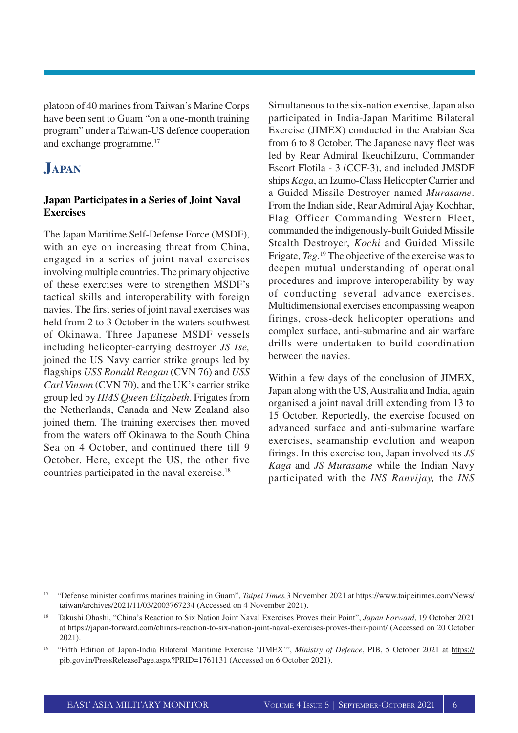platoon of 40 marines from Taiwan's Marine Corps have been sent to Guam "on a one-month training program" under a Taiwan-US defence cooperation and exchange programme.<sup>17</sup>

## **JAPAN**

#### **Japan Participates in a Series of Joint Naval Exercises**

The Japan Maritime Self-Defense Force (MSDF), with an eye on increasing threat from China, engaged in a series of joint naval exercises involving multiple countries. The primary objective of these exercises were to strengthen MSDF's tactical skills and interoperability with foreign navies. The first series of joint naval exercises was held from 2 to 3 October in the waters southwest of Okinawa. Three Japanese MSDF vessels including helicopter-carrying destroyer *JS Ise,* joined the US Navy carrier strike groups led by flagships *USS Ronald Reagan* (CVN 76) and *USS Carl Vinson* (CVN 70), and the UK's carrier strike group led by *HMS Queen Elizabeth*. Frigates from the Netherlands, Canada and New Zealand also joined them. The training exercises then moved from the waters off Okinawa to the South China Sea on 4 October, and continued there till 9 October. Here, except the US, the other five countries participated in the naval exercise.<sup>18</sup>

Simultaneous to the six-nation exercise, Japan also participated in India-Japan Maritime Bilateral Exercise (JIMEX) conducted in the Arabian Sea from 6 to 8 October. The Japanese navy fleet was led by Rear Admiral IkeuchiIzuru, Commander Escort Flotila - 3 (CCF-3), and included JMSDF ships *Kaga*, an Izumo-Class Helicopter Carrier and a Guided Missile Destroyer named *Murasame*. From the Indian side, Rear Admiral Ajay Kochhar, Flag Officer Commanding Western Fleet, commanded the indigenously-built Guided Missile Stealth Destroyer, *Kochi* and Guided Missile Frigate, *Teg*. <sup>19</sup> The objective of the exercise was to deepen mutual understanding of operational procedures and improve interoperability by way of conducting several advance exercises. Multidimensional exercises encompassing weapon firings, cross-deck helicopter operations and complex surface, anti-submarine and air warfare drills were undertaken to build coordination between the navies.

Within a few days of the conclusion of JIMEX, Japan along with the US, Australia and India, again organised a joint naval drill extending from 13 to 15 October. Reportedly, the exercise focused on advanced surface and anti-submarine warfare exercises, seamanship evolution and weapon firings. In this exercise too, Japan involved its *JS Kaga* and *JS Murasame* while the Indian Navy participated with the *INS Ranvijay,* the *INS*

<sup>17</sup> "Defense minister confirms marines training in Guam", *Taipei Times,*3 November 2021 at https://www.taipeitimes.com/News/ taiwan/archives/2021/11/03/2003767234 (Accessed on 4 November 2021).

<sup>18</sup> Takushi Ohashi, "China's Reaction to Six Nation Joint Naval Exercises Proves their Point", *Japan Forward*, 19 October 2021 at https://japan-forward.com/chinas-reaction-to-six-nation-joint-naval-exercises-proves-their-point/ (Accessed on 20 October 2021).

<sup>19</sup> "Fifth Edition of Japan-India Bilateral Maritime Exercise 'JIMEX'", *Ministry of Defence*, PIB, 5 October 2021 at https:// pib.gov.in/PressReleasePage.aspx?PRID=1761131 (Accessed on 6 October 2021).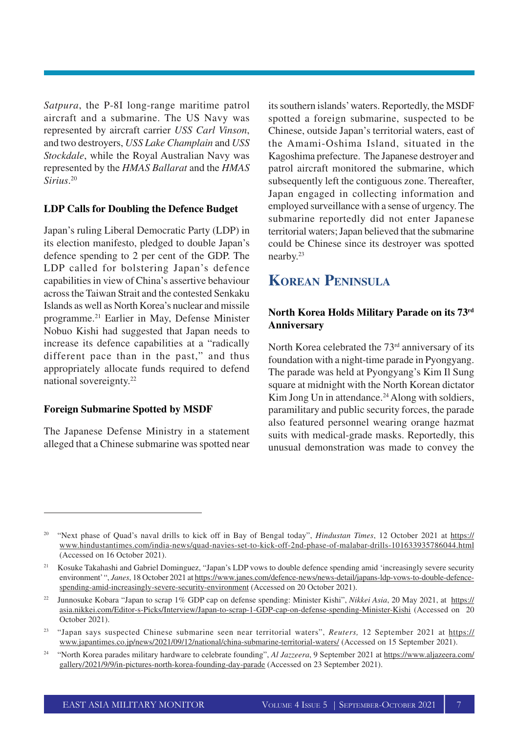*Satpura*, the P-8I long-range maritime patrol aircraft and a submarine. The US Navy was represented by aircraft carrier *USS Carl Vinson*, and two destroyers, *USS Lake Champlain* and *USS Stockdale*, while the Royal Australian Navy was represented by the *HMAS Ballarat* and the *HMAS Sirius*. 20

#### **LDP Calls for Doubling the Defence Budget**

Japan's ruling Liberal Democratic Party (LDP) in its election manifesto, pledged to double Japan's defence spending to 2 per cent of the GDP. The LDP called for bolstering Japan's defence capabilities in view of China's assertive behaviour across the Taiwan Strait and the contested Senkaku Islands as well as North Korea's nuclear and missile programme.<sup>21</sup> Earlier in May, Defense Minister Nobuo Kishi had suggested that Japan needs to increase its defence capabilities at a "radically different pace than in the past," and thus appropriately allocate funds required to defend national sovereignty. 22

#### **Foreign Submarine Spotted by MSDF**

The Japanese Defense Ministry in a statement alleged that a Chinese submarine was spotted near

its southern islands' waters. Reportedly, the MSDF spotted a foreign submarine, suspected to be Chinese, outside Japan's territorial waters, east of the Amami-Oshima Island, situated in the Kagoshima prefecture. The Japanese destroyer and patrol aircraft monitored the submarine, which subsequently left the contiguous zone. Thereafter, Japan engaged in collecting information and employed surveillance with a sense of urgency. The submarine reportedly did not enter Japanese territorial waters; Japan believed that the submarine could be Chinese since its destroyer was spotted nearby. 23

## **KOREAN PENINSULA**

#### **North Korea Holds Military Parade on its 73rd Anniversary**

North Korea celebrated the 73<sup>rd</sup> anniversary of its foundation with a night-time parade in Pyongyang. The parade was held at Pyongyang's Kim Il Sung square at midnight with the North Korean dictator Kim Jong Un in attendance.<sup>24</sup> Along with soldiers, paramilitary and public security forces, the parade also featured personnel wearing orange hazmat suits with medical-grade masks. Reportedly, this unusual demonstration was made to convey the

<sup>&</sup>lt;sup>20</sup> "Next phase of Quad's naval drills to kick off in Bay of Bengal today", *Hindustan Times*, 12 October 2021 at https:// www.hindustantimes.com/india-news/quad-navies-set-to-kick-off-2nd-phase-of-malabar-drills-101633935786044.html (Accessed on 16 October 2021).

<sup>&</sup>lt;sup>21</sup> Kosuke Takahashi and Gabriel Dominguez, "Japan's LDP vows to double defence spending amid 'increasingly severe security environment' ", *Janes*, 18 October 2021 at https://www.janes.com/defence-news/news-detail/japans-ldp-vows-to-double-defencespending-amid-increasingly-severe-security-environment (Accessed on 20 October 2021).

<sup>22</sup> Junnosuke Kobara "Japan to scrap 1% GDP cap on defense spending: Minister Kishi", *Nikkei Asia*, 20 May 2021, at https:// asia.nikkei.com/Editor-s-Picks/Interview/Japan-to-scrap-1-GDP-cap-on-defense-spending-Minister-Kishi (Accessed on 20 October 2021).

<sup>23</sup> "Japan says suspected Chinese submarine seen near territorial waters", *Reuters,* 12 September 2021 at https:// www.japantimes.co.jp/news/2021/09/12/national/china-submarine-territorial-waters/ (Accessed on 15 September 2021).

<sup>&</sup>lt;sup>24</sup> "North Korea parades military hardware to celebrate founding", *Al Jazzeera*, 9 September 2021 at https://www.aljazeera.com/ gallery/2021/9/9/in-pictures-north-korea-founding-day-parade (Accessed on 23 September 2021).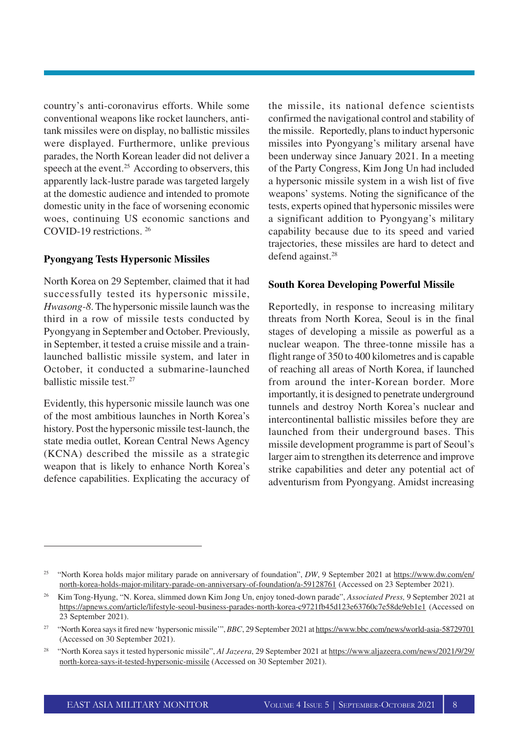country's anti-coronavirus efforts. While some conventional weapons like rocket launchers, antitank missiles were on display, no ballistic missiles were displayed. Furthermore, unlike previous parades, the North Korean leader did not deliver a speech at the event.<sup>25</sup> According to observers, this apparently lack-lustre parade was targeted largely at the domestic audience and intended to promote domestic unity in the face of worsening economic woes, continuing US economic sanctions and COVID-19 restrictions. <sup>26</sup>

#### **Pyongyang Tests Hypersonic Missiles**

North Korea on 29 September, claimed that it had successfully tested its hypersonic missile, *Hwasong-8*. The hypersonic missile launch was the third in a row of missile tests conducted by Pyongyang in September and October. Previously, in September, it tested a cruise missile and a trainlaunched ballistic missile system, and later in October, it conducted a submarine-launched ballistic missile test.<sup>27</sup>

Evidently, this hypersonic missile launch was one of the most ambitious launches in North Korea's history. Post the hypersonic missile test-launch, the state media outlet, Korean Central News Agency (KCNA) described the missile as a strategic weapon that is likely to enhance North Korea's defence capabilities. Explicating the accuracy of the missile, its national defence scientists confirmed the navigational control and stability of the missile. Reportedly, plans to induct hypersonic missiles into Pyongyang's military arsenal have been underway since January 2021. In a meeting of the Party Congress, Kim Jong Un had included a hypersonic missile system in a wish list of five weapons' systems. Noting the significance of the tests, experts opined that hypersonic missiles were a significant addition to Pyongyang's military capability because due to its speed and varied trajectories, these missiles are hard to detect and defend against.<sup>28</sup>

#### **South Korea Developing Powerful Missile**

Reportedly, in response to increasing military threats from North Korea, Seoul is in the final stages of developing a missile as powerful as a nuclear weapon. The three-tonne missile has a flight range of 350 to 400 kilometres and is capable of reaching all areas of North Korea, if launched from around the inter-Korean border. More importantly, it is designed to penetrate underground tunnels and destroy North Korea's nuclear and intercontinental ballistic missiles before they are launched from their underground bases. This missile development programme is part of Seoul's larger aim to strengthen its deterrence and improve strike capabilities and deter any potential act of adventurism from Pyongyang. Amidst increasing

<sup>&</sup>lt;sup>25</sup> "North Korea holds major military parade on anniversary of foundation", *DW*, 9 September 2021 at https://www.dw.com/en/ north-korea-holds-major-military-parade-on-anniversary-of-foundation/a-59128761 (Accessed on 23 September 2021).

<sup>26</sup> Kim Tong-Hyung, "N. Korea, slimmed down Kim Jong Un, enjoy toned-down parade", *Associated Press,* 9 September 2021 at https://apnews.com/article/lifestyle-seoul-business-parades-north-korea-c9721fb45d123e63760c7e58de9eb1e1 (Accessed on 23 September 2021).

<sup>&</sup>lt;sup>27</sup> "North Korea says it fired new 'hypersonic missile'", *BBC*, 29 September 2021 at https://www.bbc.com/news/world-asia-58729701 (Accessed on 30 September 2021).

<sup>28</sup> "North Korea says it tested hypersonic missile", *Al Jazeera*, 29 September 2021 at https://www.aljazeera.com/news/2021/9/29/ north-korea-says-it-tested-hypersonic-missile (Accessed on 30 September 2021).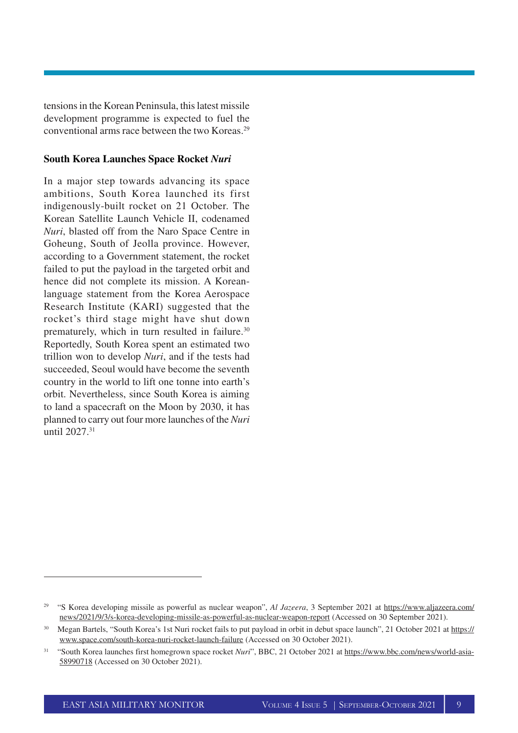tensions in the Korean Peninsula, this latest missile development programme is expected to fuel the conventional arms race between the two Koreas.<sup>29</sup>

#### **South Korea Launches Space Rocket** *Nuri*

In a major step towards advancing its space ambitions, South Korea launched its first indigenously-built rocket on 21 October. The Korean Satellite Launch Vehicle II, codenamed *Nuri*, blasted off from the Naro Space Centre in Goheung, South of Jeolla province. However, according to a Government statement, the rocket failed to put the payload in the targeted orbit and hence did not complete its mission. A Koreanlanguage statement from the Korea Aerospace Research Institute (KARI) suggested that the rocket's third stage might have shut down prematurely, which in turn resulted in failure.<sup>30</sup> Reportedly, South Korea spent an estimated two trillion won to develop *Nuri*, and if the tests had succeeded, Seoul would have become the seventh country in the world to lift one tonne into earth's orbit. Nevertheless, since South Korea is aiming to land a spacecraft on the Moon by 2030, it has planned to carry out four more launches of the *Nuri* until 2027.<sup>31</sup>

<sup>&</sup>lt;sup>29</sup> "S Korea developing missile as powerful as nuclear weapon", *Al Jazeera*, 3 September 2021 at https://www.aljazeera.com/ news/2021/9/3/s-korea-developing-missile-as-powerful-as-nuclear-weapon-report (Accessed on 30 September 2021).

<sup>&</sup>lt;sup>30</sup> Megan Bartels, "South Korea's 1st Nuri rocket fails to put payload in orbit in debut space launch", 21 October 2021 at https:// www.space.com/south-korea-nuri-rocket-launch-failure (Accessed on 30 October 2021).

<sup>&</sup>lt;sup>31</sup> "South Korea launches first homegrown space rocket *Nuri*", BBC, 21 October 2021 at https://www.bbc.com/news/world-asia-58990718 (Accessed on 30 October 2021).